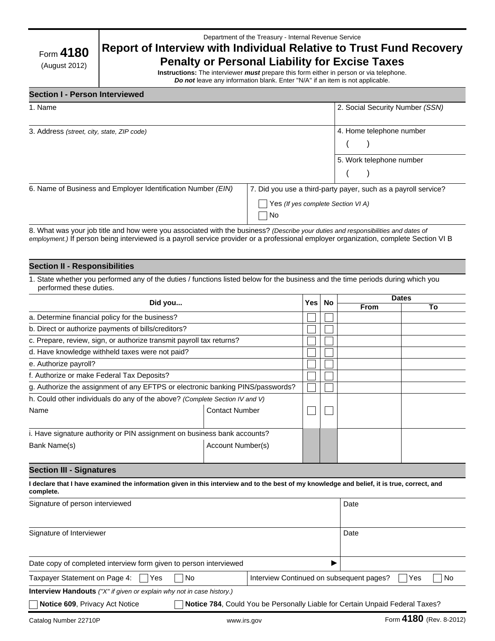| Department of the Treasury - Internal Revenue Service |  |  |
|-------------------------------------------------------|--|--|
|                                                       |  |  |

# **Report of Interview with Individual Relative to Trust Fund Recovery Penalty or Personal Liability for Excise Taxes**

# Form **4180** (August 2012)

**Instructions:** The interviewer *must* prepare this form either in person or via telephone. *Do not* leave any information blank. Enter ''N/A'' if an item is not applicable.

### **Section I - Person Interviewed**

| 1. Name                                                      |                                                                                                              | 2. Social Security Number (SSN) |
|--------------------------------------------------------------|--------------------------------------------------------------------------------------------------------------|---------------------------------|
| 3. Address (street, city, state, ZIP code)                   |                                                                                                              | 4. Home telephone number        |
|                                                              |                                                                                                              | 5. Work telephone number        |
| 6. Name of Business and Employer Identification Number (EIN) | 7. Did you use a third-party payer, such as a payroll service?<br>Yes (If yes complete Section VI A)<br>  No |                                 |

8. What was your job title and how were you associated with the business? *(Describe your duties and responsibilities and dates of employment.)* If person being interviewed is a payroll service provider or a professional employer organization, complete Section VI B

#### **Section II - Responsibilities**

1. State whether you performed any of the duties / functions listed below for the business and the time periods during which you performed these duties.

| Did you                                                                        |                       | <b>Yes</b> | No | <b>Dates</b> |    |
|--------------------------------------------------------------------------------|-----------------------|------------|----|--------------|----|
|                                                                                |                       |            |    | <b>From</b>  | To |
| a. Determine financial policy for the business?                                |                       |            |    |              |    |
| b. Direct or authorize payments of bills/creditors?                            |                       |            |    |              |    |
| c. Prepare, review, sign, or authorize transmit payroll tax returns?           |                       |            |    |              |    |
| d. Have knowledge withheld taxes were not paid?                                |                       |            |    |              |    |
| e. Authorize payroll?                                                          |                       |            |    |              |    |
| f. Authorize or make Federal Tax Deposits?                                     |                       |            |    |              |    |
| g. Authorize the assignment of any EFTPS or electronic banking PINS/passwords? |                       |            |    |              |    |
| h. Could other individuals do any of the above? (Complete Section IV and V)    |                       |            |    |              |    |
| Name                                                                           | <b>Contact Number</b> |            |    |              |    |
|                                                                                |                       |            |    |              |    |
| i. Have signature authority or PIN assignment on business bank accounts?       |                       |            |    |              |    |
| Bank Name(s)                                                                   | Account Number(s)     |            |    |              |    |
|                                                                                |                       |            |    |              |    |

### **Section III - Signatures**

| I declare that I have examined the information given in this interview and to the best of my knowledge and belief, it is true, correct, and<br>complete. |                                          |             |  |
|----------------------------------------------------------------------------------------------------------------------------------------------------------|------------------------------------------|-------------|--|
| Signature of person interviewed                                                                                                                          |                                          | Date        |  |
| Signature of Interviewer                                                                                                                                 |                                          | Date        |  |
| Date copy of completed interview form given to person interviewed<br>▶                                                                                   |                                          |             |  |
| Taxpayer Statement on Page 4:<br>No.<br>l Yes                                                                                                            | Interview Continued on subsequent pages? | No<br>l Yes |  |
| <b>Interview Handouts</b> ("X" if given or explain why not in case history.)                                                                             |                                          |             |  |
| Notice 609, Privacy Act Notice<br>Notice 784, Could You be Personally Liable for Certain Unpaid Federal Taxes?                                           |                                          |             |  |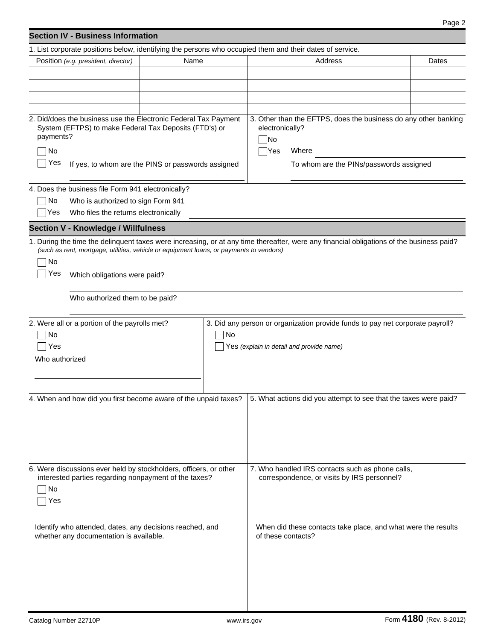# **Section IV - Business Information**

| 1. List corporate positions below, identifying the persons who occupied them and their dates of service.                                        |                                                                                         |                                                                                                                                          |       |  |
|-------------------------------------------------------------------------------------------------------------------------------------------------|-----------------------------------------------------------------------------------------|------------------------------------------------------------------------------------------------------------------------------------------|-------|--|
| Position (e.g. president, director)                                                                                                             | Name                                                                                    | Address                                                                                                                                  | Dates |  |
|                                                                                                                                                 |                                                                                         |                                                                                                                                          |       |  |
|                                                                                                                                                 |                                                                                         |                                                                                                                                          |       |  |
|                                                                                                                                                 |                                                                                         |                                                                                                                                          |       |  |
|                                                                                                                                                 |                                                                                         |                                                                                                                                          |       |  |
| 2. Did/does the business use the Electronic Federal Tax Payment<br>System (EFTPS) to make Federal Tax Deposits (FTD's) or<br>payments?          |                                                                                         | 3. Other than the EFTPS, does the business do any other banking<br>electronically?<br> No                                                |       |  |
| No                                                                                                                                              |                                                                                         | Where<br>Yes                                                                                                                             |       |  |
| Yes                                                                                                                                             | If yes, to whom are the PINS or passwords assigned                                      | To whom are the PINs/passwords assigned                                                                                                  |       |  |
| 4. Does the business file Form 941 electronically?                                                                                              |                                                                                         |                                                                                                                                          |       |  |
| No<br>Who is authorized to sign Form 941                                                                                                        |                                                                                         |                                                                                                                                          |       |  |
| Who files the returns electronically<br> Yes                                                                                                    |                                                                                         |                                                                                                                                          |       |  |
|                                                                                                                                                 |                                                                                         |                                                                                                                                          |       |  |
| <b>Section V - Knowledge / Willfulness</b>                                                                                                      |                                                                                         |                                                                                                                                          |       |  |
| No<br>Yes<br>Which obligations were paid?                                                                                                       | (such as rent, mortgage, utilities, vehicle or equipment loans, or payments to vendors) | 1. During the time the delinquent taxes were increasing, or at any time thereafter, were any financial obligations of the business paid? |       |  |
|                                                                                                                                                 |                                                                                         |                                                                                                                                          |       |  |
| Who authorized them to be paid?                                                                                                                 |                                                                                         |                                                                                                                                          |       |  |
|                                                                                                                                                 |                                                                                         |                                                                                                                                          |       |  |
| 2. Were all or a portion of the payrolls met?                                                                                                   |                                                                                         | 3. Did any person or organization provide funds to pay net corporate payroll?                                                            |       |  |
| No                                                                                                                                              | No                                                                                      |                                                                                                                                          |       |  |
| Yes                                                                                                                                             |                                                                                         | Yes (explain in detail and provide name)                                                                                                 |       |  |
| Who authorized                                                                                                                                  |                                                                                         |                                                                                                                                          |       |  |
|                                                                                                                                                 |                                                                                         |                                                                                                                                          |       |  |
|                                                                                                                                                 |                                                                                         |                                                                                                                                          |       |  |
| 4. When and how did you first become aware of the unpaid taxes?                                                                                 |                                                                                         | 5. What actions did you attempt to see that the taxes were paid?                                                                         |       |  |
|                                                                                                                                                 |                                                                                         |                                                                                                                                          |       |  |
|                                                                                                                                                 |                                                                                         |                                                                                                                                          |       |  |
|                                                                                                                                                 |                                                                                         |                                                                                                                                          |       |  |
|                                                                                                                                                 |                                                                                         |                                                                                                                                          |       |  |
|                                                                                                                                                 |                                                                                         |                                                                                                                                          |       |  |
| 6. Were discussions ever held by stockholders, officers, or other                                                                               |                                                                                         | 7. Who handled IRS contacts such as phone calls,                                                                                         |       |  |
| interested parties regarding nonpayment of the taxes?                                                                                           |                                                                                         | correspondence, or visits by IRS personnel?                                                                                              |       |  |
| No                                                                                                                                              |                                                                                         |                                                                                                                                          |       |  |
| Yes                                                                                                                                             |                                                                                         |                                                                                                                                          |       |  |
|                                                                                                                                                 |                                                                                         |                                                                                                                                          |       |  |
| Identify who attended, dates, any decisions reached, and<br>When did these contacts take place, and what were the results<br>of these contacts? |                                                                                         |                                                                                                                                          |       |  |
| whether any documentation is available.                                                                                                         |                                                                                         |                                                                                                                                          |       |  |
|                                                                                                                                                 |                                                                                         |                                                                                                                                          |       |  |
|                                                                                                                                                 |                                                                                         |                                                                                                                                          |       |  |
|                                                                                                                                                 |                                                                                         |                                                                                                                                          |       |  |
|                                                                                                                                                 |                                                                                         |                                                                                                                                          |       |  |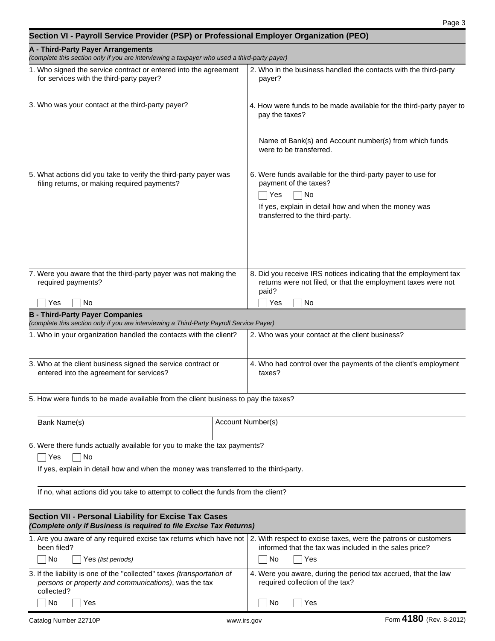| A - Third-Party Payer Arrangements<br>(complete this section only if you are interviewing a taxpayer who used a third-party payer)                            |                                                                                                                                                            |  |  |
|---------------------------------------------------------------------------------------------------------------------------------------------------------------|------------------------------------------------------------------------------------------------------------------------------------------------------------|--|--|
| 1. Who signed the service contract or entered into the agreement<br>for services with the third-party payer?                                                  | 2. Who in the business handled the contacts with the third-party<br>payer?                                                                                 |  |  |
| 3. Who was your contact at the third-party payer?                                                                                                             | 4. How were funds to be made available for the third-party payer to<br>pay the taxes?                                                                      |  |  |
|                                                                                                                                                               | Name of Bank(s) and Account number(s) from which funds<br>were to be transferred.                                                                          |  |  |
| 5. What actions did you take to verify the third-party payer was<br>filing returns, or making required payments?                                              | 6. Were funds available for the third-party payer to use for<br>payment of the taxes?<br>No<br>Yes<br>If yes, explain in detail how and when the money was |  |  |
|                                                                                                                                                               | transferred to the third-party.                                                                                                                            |  |  |
| 7. Were you aware that the third-party payer was not making the<br>required payments?                                                                         | 8. Did you receive IRS notices indicating that the employment tax<br>returns were not filed, or that the employment taxes were not<br>paid?                |  |  |
| Yes<br>No                                                                                                                                                     | Yes<br>No                                                                                                                                                  |  |  |
| <b>B - Third-Party Payer Companies</b>                                                                                                                        |                                                                                                                                                            |  |  |
| (complete this section only if you are interviewing a Third-Party Payroll Service Payer)<br>1. Who in your organization handled the contacts with the client? | 2. Who was your contact at the client business?                                                                                                            |  |  |
|                                                                                                                                                               |                                                                                                                                                            |  |  |
| 3. Who at the client business signed the service contract or<br>entered into the agreement for services?                                                      | 4. Who had control over the payments of the client's employment<br>taxes?                                                                                  |  |  |
| 5. How were funds to be made available from the client business to pay the taxes?                                                                             |                                                                                                                                                            |  |  |
| Bank Name(s)                                                                                                                                                  | Account Number(s)                                                                                                                                          |  |  |
| 6. Were there funds actually available for you to make the tax payments?<br>  No<br>Yes                                                                       |                                                                                                                                                            |  |  |
| If yes, explain in detail how and when the money was transferred to the third-party.                                                                          |                                                                                                                                                            |  |  |
| If no, what actions did you take to attempt to collect the funds from the client?                                                                             |                                                                                                                                                            |  |  |
| Section VII - Personal Liability for Excise Tax Cases<br>(Complete only if Business is required to file Excise Tax Returns)                                   |                                                                                                                                                            |  |  |
| 1. Are you aware of any required excise tax returns which have not<br>been filed?<br>No<br>Yes (list periods)                                                 | 2. With respect to excise taxes, were the patrons or customers<br>informed that the tax was included in the sales price?<br>No.<br>Yes                     |  |  |
| 3. If the liability is one of the "collected" taxes (transportation of<br>persons or property and communications), was the tax                                | 4. Were you aware, during the period tax accrued, that the law<br>required collection of the tax?                                                          |  |  |
| collected?<br>No<br>Yes                                                                                                                                       | No.<br>Yes                                                                                                                                                 |  |  |

**Section VI - Payroll Service Provider (PSP) or Professional Employer Organization (PEO)**